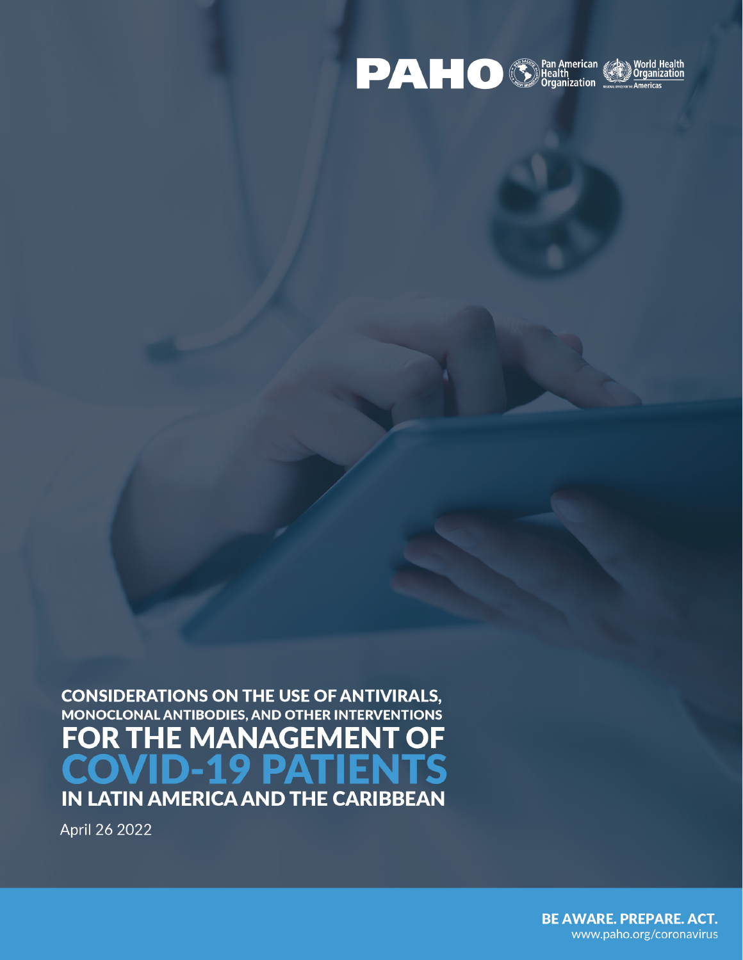

**CONSIDERATIONS ON THE USE OF ANTIVIRALS,** MONOCLONAL ANTIBODIES, AND OTHER INTERVENTIONS **FOR T HE MANAGEMEN** OF  $\overline{\phantom{a}}$ S IN LATIN AMERICA AND THE CARIBBEAN

April 26 2022

**BE AWARE. PREPARE. ACT.** www.paho.org/coronavirus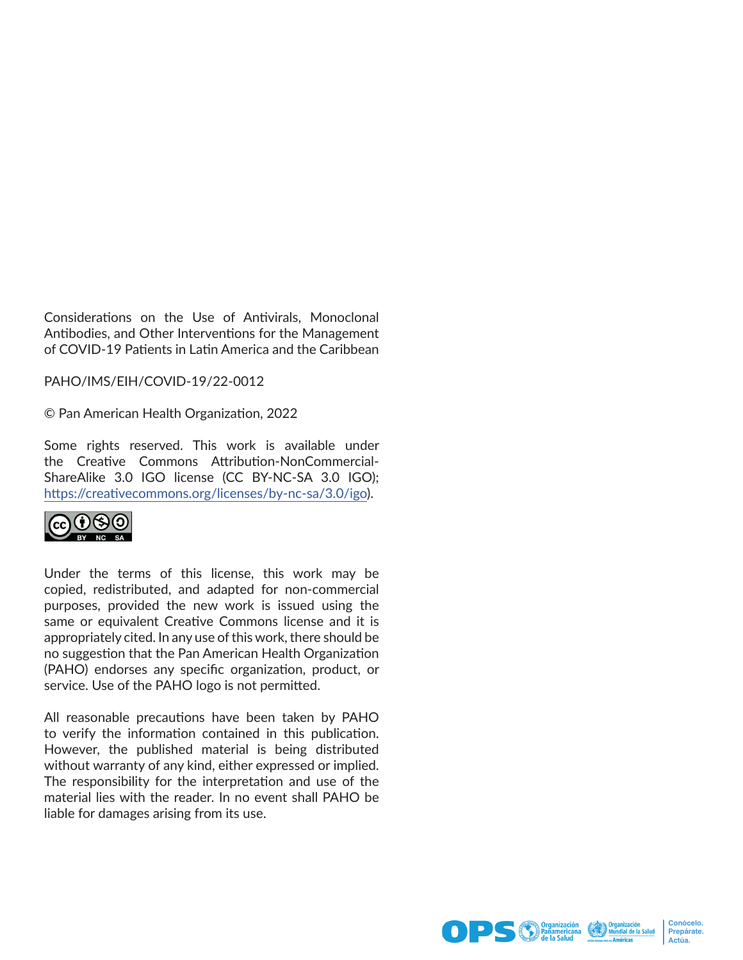Considerations on the Use of Antivirals, Monoclonal Antibodies, and Other Interventions for the Management of COVID-19 Patients in Latin America and the Caribbean

PAHO/IMS/EIH/COVID-19/22-0012

© Pan American Health Organization, 2022

Some rights reserved. This work is available under the Creative Commons Attribution-NonCommercial-ShareAlike 3.0 IGO license (CC BY-NC-SA 3.0 IGO); [https://creativecommons.org/licenses/by-nc-sa/3.0/igo](https://creativecommons.org/licenses/by-nc-sa/3.0/igo))).



Under the terms of this license, this work may be copied, redistributed, and adapted for non-commercial purposes, provided the new work is issued using the same or equivalent Creative Commons license and it is appropriately cited. In any use of this work, there should be no suggestion that the Pan American Health Organization (PAHO) endorses any specific organization, product, or service. Use of the PAHO logo is not permitted.

All reasonable precautions have been taken by PAHO to verify the information contained in this publication. However, the published material is being distributed without warranty of any kind, either expressed or implied. The responsibility for the interpretation and use of the material lies with the reader. In no event shall PAHO be liable for damages arising from its use.





**Conócelo. Prepárate. Actúa.**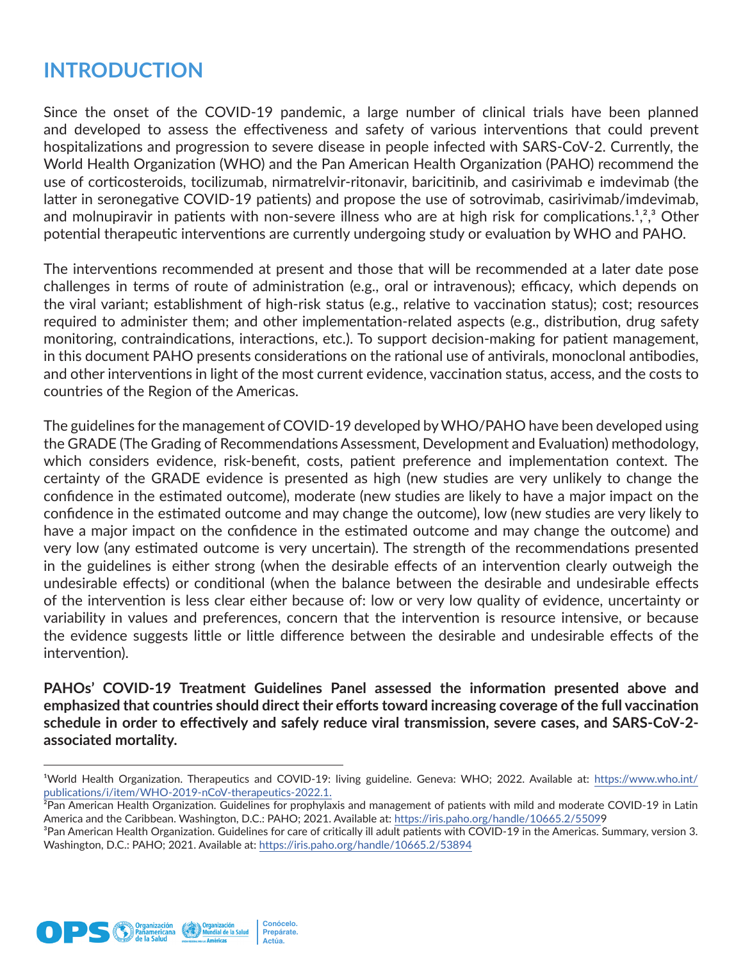## **INTRODUCTION**

Since the onset of the COVID-19 pandemic, a large number of clinical trials have been planned and developed to assess the effectiveness and safety of various interventions that could prevent hospitalizations and progression to severe disease in people infected with SARS-CoV-2. Currently, the World Health Organization (WHO) and the Pan American Health Organization (PAHO) recommend the use of corticosteroids, tocilizumab, nirmatrelvir-ritonavir, baricitinib, and casirivimab e imdevimab (the latter in seronegative COVID-19 patients) and propose the use of sotrovimab, casirivimab/imdevimab, and molnupiravir in patients with non-severe illness who are at high risk for complications.<sup>1,2,3</sup> Other potential therapeutic interventions are currently undergoing study or evaluation by WHO and PAHO.

The interventions recommended at present and those that will be recommended at a later date pose challenges in terms of route of administration (e.g., oral or intravenous); efficacy, which depends on the viral variant; establishment of high-risk status (e.g., relative to vaccination status); cost; resources required to administer them; and other implementation-related aspects (e.g., distribution, drug safety monitoring, contraindications, interactions, etc.). To support decision-making for patient management, in this document PAHO presents considerations on the rational use of antivirals, monoclonal antibodies, and other interventions in light of the most current evidence, vaccination status, access, and the costs to countries of the Region of the Americas.

The guidelines for the management of COVID-19 developed by WHO/PAHO have been developed using the GRADE (The Grading of Recommendations Assessment, Development and Evaluation) methodology, which considers evidence, risk-benefit, costs, patient preference and implementation context. The certainty of the GRADE evidence is presented as high (new studies are very unlikely to change the confidence in the estimated outcome), moderate (new studies are likely to have a major impact on the confidence in the estimated outcome and may change the outcome), low (new studies are very likely to have a major impact on the confidence in the estimated outcome and may change the outcome) and very low (any estimated outcome is very uncertain). The strength of the recommendations presented in the guidelines is either strong (when the desirable effects of an intervention clearly outweigh the undesirable effects) or conditional (when the balance between the desirable and undesirable effects of the intervention is less clear either because of: low or very low quality of evidence, uncertainty or variability in values and preferences, concern that the intervention is resource intensive, or because the evidence suggests little or little difference between the desirable and undesirable effects of the intervention).

**PAHOs' COVID-19 Treatment Guidelines Panel assessed the information presented above and emphasized that countries should direct their efforts toward increasing coverage of the full vaccination schedule in order to effectively and safely reduce viral transmission, severe cases, and SARS-CoV-2 associated mortality.**





<sup>&</sup>lt;sup>1</sup>World Health Organization. Therapeutics and COVID-19: living guideline. Geneva: WHO; 2022. Available at: [https://www.who.int/](https://www.who.int/publications/i/item/WHO-2019-nCoV-therapeutics-2022.1.) [publications/i/item/WHO-2019-nCoV-therapeutics-2022.1.](https://www.who.int/publications/i/item/WHO-2019-nCoV-therapeutics-2022.1.)

<sup>&</sup>lt;sup>2</sup>Pan American Health Organization. Guidelines for prophylaxis and management of patients with mild and moderate COVID-19 in Latin America and the Caribbean. Washington, D.C.: PAHO; 2021. Available at:<https://iris.paho.org/handle/10665.2/5509>9

<sup>&</sup>lt;sup>3</sup>Pan American Health Organization. Guidelines for care of critically ill adult patients with COVID-19 in the Americas. Summary, version 3. Washington, D.C.: PAHO; 2021. Available at: <https://iris.paho.org/handle/10665.2/53894>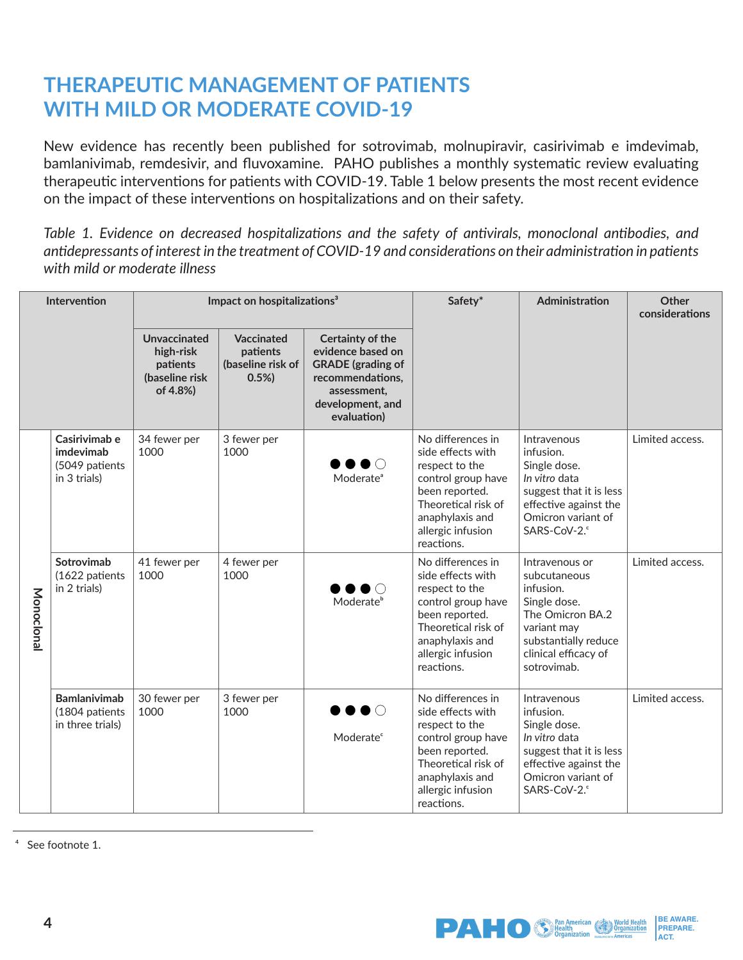# **THERAPEUTIC MANAGEMENT OF PATIENTS WITH MILD OR MODERATE COVID-19**

New evidence has recently been published for sotrovimab, molnupiravir, casirivimab e imdevimab, bamlanivimab, remdesivir, and fluvoxamine. PAHO publishes a monthly systematic review evaluating therapeutic interventions for patients with COVID-19. Table 1 below presents the most recent evidence on the impact of these interventions on hospitalizations and on their safety.

*Table 1. Evidence on decreased hospitalizations and the safety of antivirals, monoclonal antibodies, and antidepressants of interest in the treatment of COVID-19 and considerations on their administration in patients with mild or moderate illness*

| Intervention |                                                              | Impact on hospitalizations <sup>3</sup>                             |                                                     | Safety*                                                                                                                                 | Administration                                                                                                                                                                | Other<br>considerations                                                                                                                                       |                 |
|--------------|--------------------------------------------------------------|---------------------------------------------------------------------|-----------------------------------------------------|-----------------------------------------------------------------------------------------------------------------------------------------|-------------------------------------------------------------------------------------------------------------------------------------------------------------------------------|---------------------------------------------------------------------------------------------------------------------------------------------------------------|-----------------|
|              |                                                              | Unvaccinated<br>high-risk<br>patients<br>(baseline risk<br>of 4.8%) | Vaccinated<br>patients<br>(baseline risk of<br>0.5% | Certainty of the<br>evidence based on<br><b>GRADE</b> (grading of<br>recommendations,<br>assessment.<br>development, and<br>evaluation) |                                                                                                                                                                               |                                                                                                                                                               |                 |
| Monoclonal   | Casirivimab e<br>imdevimab<br>(5049 patients<br>in 3 trials) | 34 fewer per<br>1000                                                | 3 fewer per<br>1000                                 | $\bullet$ $\circ$<br>Moderate <sup>ª</sup>                                                                                              | No differences in<br>side effects with<br>respect to the<br>control group have<br>been reported.<br>Theoretical risk of<br>anaphylaxis and<br>allergic infusion<br>reactions. | Intravenous<br>infusion.<br>Single dose.<br>In vitro data<br>suggest that it is less<br>effective against the<br>Omicron variant of<br>SARS-CoV-2.            | Limited access. |
|              | Sotrovimab<br>(1622 patients<br>in 2 trials)                 | 41 fewer per<br>1000                                                | 4 fewer per<br>1000                                 | $\bullet$ $\circ$<br>Moderate <sup>b</sup>                                                                                              | No differences in<br>side effects with<br>respect to the<br>control group have<br>been reported.<br>Theoretical risk of<br>anaphylaxis and<br>allergic infusion<br>reactions. | Intravenous or<br>subcutaneous<br>infusion.<br>Single dose.<br>The Omicron BA.2<br>variant may<br>substantially reduce<br>clinical efficacy of<br>sotrovimab. | Limited access. |
|              | <b>Bamlanivimab</b><br>(1804 patients<br>in three trials)    | 30 fewer per<br>1000                                                | 3 fewer per<br>1000                                 | ∙∙∙<br>Moderate <sup>c</sup>                                                                                                            | No differences in<br>side effects with<br>respect to the<br>control group have<br>been reported.<br>Theoretical risk of<br>anaphylaxis and<br>allergic infusion<br>reactions. | Intravenous<br>infusion.<br>Single dose.<br>In vitro data<br>suggest that it is less<br>effective against the<br>Omicron variant of<br>SARS-CoV-2.            | Limited access. |

<sup>4</sup> See footnote 1.

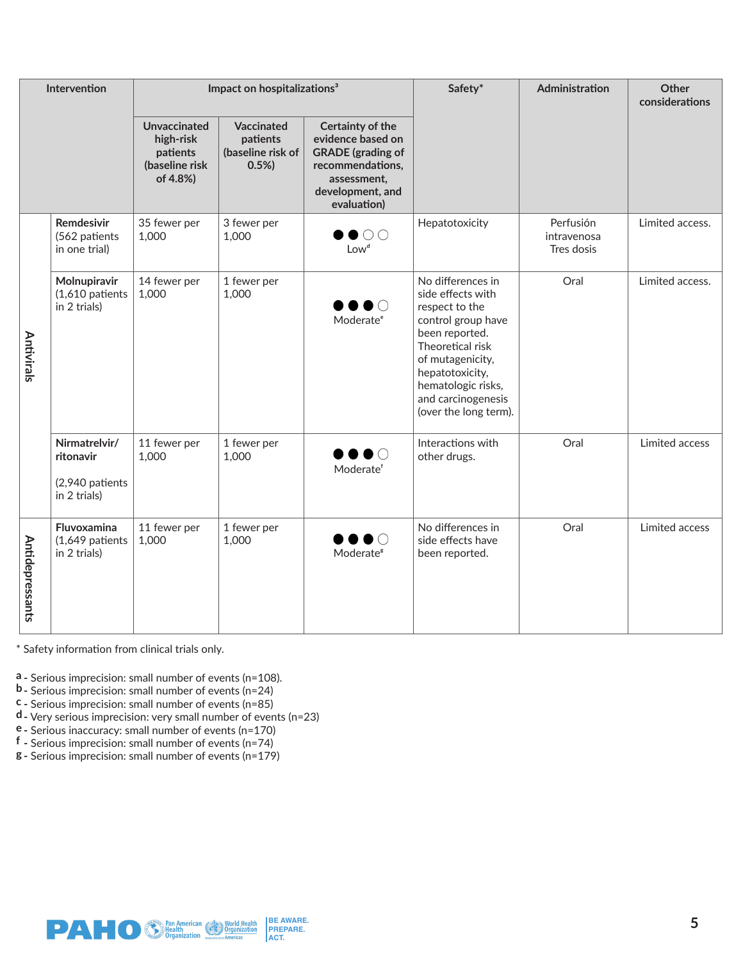| Intervention    |                                                               | Impact on hospitalizations <sup>3</sup>                             |                                                     | Safety*                                                                                                                                 | Administration                                                                                                                                                                                                                   | Other<br>considerations                |                 |
|-----------------|---------------------------------------------------------------|---------------------------------------------------------------------|-----------------------------------------------------|-----------------------------------------------------------------------------------------------------------------------------------------|----------------------------------------------------------------------------------------------------------------------------------------------------------------------------------------------------------------------------------|----------------------------------------|-----------------|
|                 |                                                               | Unvaccinated<br>high-risk<br>patients<br>(baseline risk<br>of 4.8%) | Vaccinated<br>patients<br>(baseline risk of<br>0.5% | Certainty of the<br>evidence based on<br><b>GRADE</b> (grading of<br>recommendations,<br>assessment,<br>development, and<br>evaluation) |                                                                                                                                                                                                                                  |                                        |                 |
|                 | Remdesivir<br>(562 patients<br>in one trial)                  | 35 fewer per<br>1,000                                               | 3 fewer per<br>1,000                                | $\bullet$ 00<br>Low <sup>d</sup>                                                                                                        | Hepatotoxicity                                                                                                                                                                                                                   | Perfusión<br>intravenosa<br>Tres dosis | Limited access. |
| Antivirals      | Molnupiravir<br>(1,610 patients<br>in 2 trials)               | 14 fewer per<br>1,000                                               | 1 fewer per<br>1,000                                | ∙∙∙<br>Moderate <sup>e</sup>                                                                                                            | No differences in<br>side effects with<br>respect to the<br>control group have<br>been reported.<br>Theoretical risk<br>of mutagenicity,<br>hepatotoxicity,<br>hematologic risks,<br>and carcinogenesis<br>(over the long term). | Oral                                   | Limited access. |
|                 | Nirmatrelvir/<br>ritonavir<br>(2,940 patients<br>in 2 trials) | 11 fewer per<br>1,000                                               | 1 fewer per<br>1,000                                | $\bullet\bullet\bullet\circ$<br>Moderatef                                                                                               | Interactions with<br>other drugs.                                                                                                                                                                                                | Oral                                   | Limited access  |
| Antidepressants | Fluvoxamina<br>$(1,649$ patients<br>in 2 trials)              | 11 fewer per<br>1,000                                               | 1 fewer per<br>1,000                                | $\bullet$ $\circ$<br>Moderate <sup>8</sup>                                                                                              | No differences in<br>side effects have<br>been reported.                                                                                                                                                                         | Oral                                   | Limited access  |

[\\*](https://scholar.harvard.edu/files/melissabarber/files/estimated_cost-based_generic_prices_for_molnup) Safety information from clinical trials only.

**a -** Serious imprecision: small number of events (n=108).

**b -** Serious imprecision: small number of events (n=24)

**c -** Serious imprecision: small number of events (n=85)

**d -** Very serious imprecision: very small number of events (n=23)

**e -** Serious inaccuracy: small number of events (n=170)

**f -** Serious imprecision: small number of events (n=74)

**g -** Serious imprecision: small number of events (n=179)

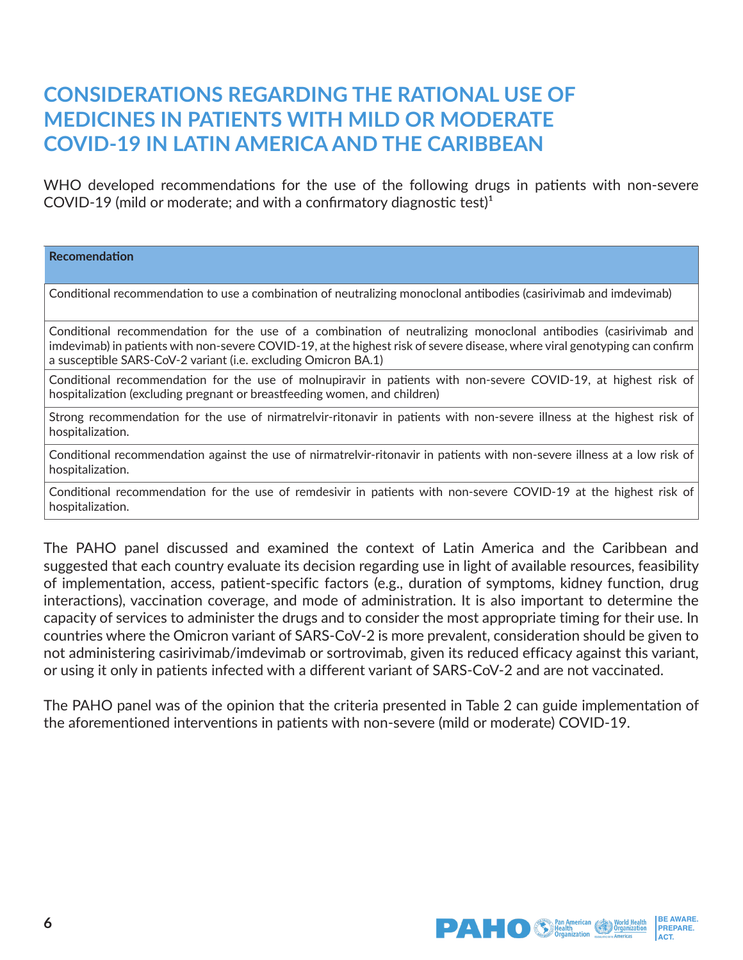### **CONSIDERATIONS REGARDING THE RATIONAL USE OF MEDICINES IN PATIENTS WITH MILD OR MODERATE COVID-19 IN LATIN AMERICA AND THE CARIBBEAN**

WHO developed recommendations for the use of the following drugs in patients with non-severe COVID-19 (mild or moderate; and with a confirmatory diagnostic test) $1$ 

**Recomendation** Conditional recommendation to use a combination of neutralizing monoclonal antibodies (casirivimab and imdevimab) Conditional recommendation for the use of a combination of neutralizing monoclonal antibodies (casirivimab and imdevimab) in patients with non-severe COVID-19, at the highest risk of severe disease, where viral genotyping can confirm a susceptible SARS-CoV-2 variant (i.e. excluding Omicron BA.1) Conditional recommendation for the use of molnupiravir in patients with non-severe COVID-19, at highest risk of hospitalization (excluding pregnant or breastfeeding women, and children) Strong recommendation for the use of nirmatrelvir-ritonavir in patients with non-severe illness at the highest risk of hospitalization.

Conditional recommendation against the use of nirmatrelvir-ritonavir in patients with non-severe illness at a low risk of hospitalization.

Conditional recommendation for the use of remdesivir in patients with non-severe COVID-19 at the highest risk of hospitalization.

The PAHO panel discussed and examined the context of Latin America and the Caribbean and suggested that each country evaluate its decision regarding use in light of available resources, feasibility of implementation, access, patient-specific factors (e.g., duration of symptoms, kidney function, drug interactions), vaccination coverage, and mode of administration. It is also important to determine the capacity of services to administer the drugs and to consider the most appropriate timing for their use. In countries where the Omicron variant of SARS-CoV-2 is more prevalent, consideration should be given to not administering casirivimab/imdevimab or sortrovimab, given its reduced efficacy against this variant, or using it only in patients infected with a different variant of SARS-CoV-2 and are not vaccinated.

The PAHO panel was of the opinion that the criteria presented in Table 2 can guide implementation of the aforementioned interventions in patients with non-severe (mild or moderate) COVID-19.

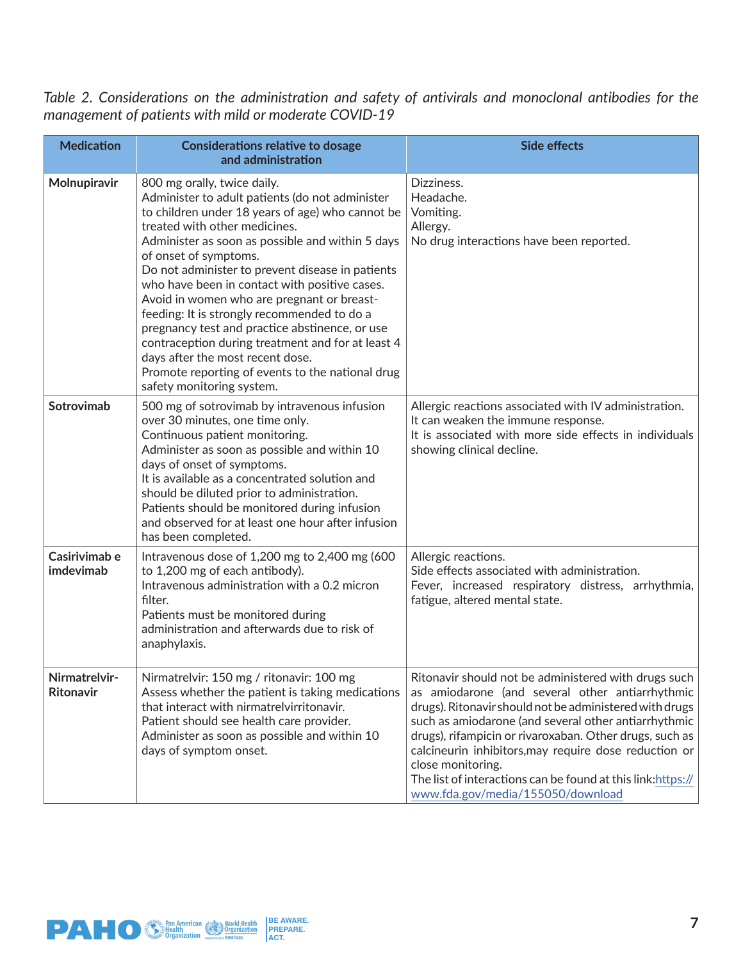*Table 2. Considerations on the administration and safety of antivirals and monoclonal antibodies for the management of patients with mild or moderate COVID-19*

| <b>Medication</b>                 | <b>Considerations relative to dosage</b><br>and administration                                                                                                                                                                                                                                                                                                                                                                                                                                                                                                                                                                                                                 | <b>Side effects</b>                                                                                                                                                                                                                                                                                                                                                                                                                                                      |
|-----------------------------------|--------------------------------------------------------------------------------------------------------------------------------------------------------------------------------------------------------------------------------------------------------------------------------------------------------------------------------------------------------------------------------------------------------------------------------------------------------------------------------------------------------------------------------------------------------------------------------------------------------------------------------------------------------------------------------|--------------------------------------------------------------------------------------------------------------------------------------------------------------------------------------------------------------------------------------------------------------------------------------------------------------------------------------------------------------------------------------------------------------------------------------------------------------------------|
| Molnupiravir                      | 800 mg orally, twice daily.<br>Administer to adult patients (do not administer<br>to children under 18 years of age) who cannot be<br>treated with other medicines.<br>Administer as soon as possible and within 5 days<br>of onset of symptoms.<br>Do not administer to prevent disease in patients<br>who have been in contact with positive cases.<br>Avoid in women who are pregnant or breast-<br>feeding: It is strongly recommended to do a<br>pregnancy test and practice abstinence, or use<br>contraception during treatment and for at least 4<br>days after the most recent dose.<br>Promote reporting of events to the national drug<br>safety monitoring system. | Dizziness.<br>Headache.<br>Vomiting.<br>Allergy.<br>No drug interactions have been reported.                                                                                                                                                                                                                                                                                                                                                                             |
| Sotrovimab                        | 500 mg of sotrovimab by intravenous infusion<br>over 30 minutes, one time only.<br>Continuous patient monitoring.<br>Administer as soon as possible and within 10<br>days of onset of symptoms.<br>It is available as a concentrated solution and<br>should be diluted prior to administration.<br>Patients should be monitored during infusion<br>and observed for at least one hour after infusion<br>has been completed.                                                                                                                                                                                                                                                    | Allergic reactions associated with IV administration.<br>It can weaken the immune response.<br>It is associated with more side effects in individuals<br>showing clinical decline.                                                                                                                                                                                                                                                                                       |
| Casirivimab e<br>imdevimab        | Intravenous dose of 1,200 mg to 2,400 mg (600<br>to 1,200 mg of each antibody).<br>Intravenous administration with a 0.2 micron<br>filter.<br>Patients must be monitored during<br>administration and afterwards due to risk of<br>anaphylaxis.                                                                                                                                                                                                                                                                                                                                                                                                                                | Allergic reactions.<br>Side effects associated with administration.<br>Fever, increased respiratory distress, arrhythmia,<br>fatigue, altered mental state.                                                                                                                                                                                                                                                                                                              |
| Nirmatrelvir-<br><b>Ritonavir</b> | Nirmatrelvir: 150 mg / ritonavir: 100 mg<br>Assess whether the patient is taking medications<br>that interact with nirmatrelvirritonavir.<br>Patient should see health care provider.<br>Administer as soon as possible and within 10<br>days of symptom onset.                                                                                                                                                                                                                                                                                                                                                                                                                | Ritonavir should not be administered with drugs such<br>as amiodarone (and several other antiarrhythmic<br>drugs). Ritonavir should not be administered with drugs<br>such as amiodarone (and several other antiarrhythmic<br>drugs), rifampicin or rivaroxaban. Other drugs, such as<br>calcineurin inhibitors, may require dose reduction or<br>close monitoring.<br>The list of interactions can be found at this link: https://<br>www.fda.gov/media/155050/download |

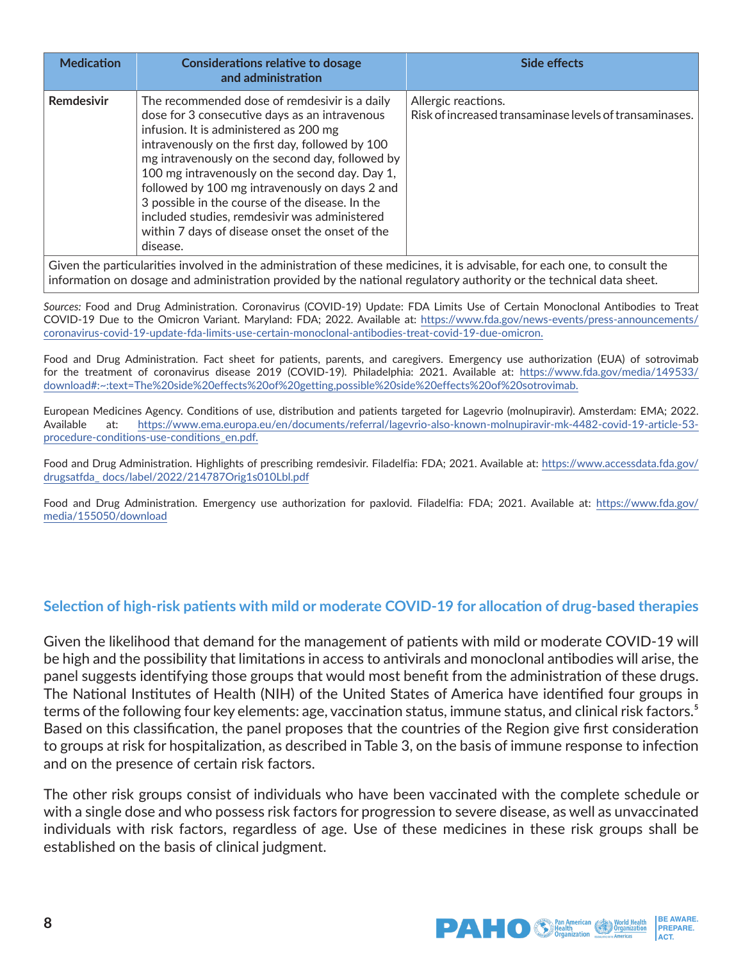| <b>Medication</b>                                                                                                          | <b>Considerations relative to dosage</b><br>and administration                                                                                                                                                                                                                                                                                                                                                                                                                                                        | Side effects                                                                   |  |  |  |
|----------------------------------------------------------------------------------------------------------------------------|-----------------------------------------------------------------------------------------------------------------------------------------------------------------------------------------------------------------------------------------------------------------------------------------------------------------------------------------------------------------------------------------------------------------------------------------------------------------------------------------------------------------------|--------------------------------------------------------------------------------|--|--|--|
| Remdesivir                                                                                                                 | The recommended dose of remdesivir is a daily<br>dose for 3 consecutive days as an intravenous<br>infusion. It is administered as 200 mg<br>intravenously on the first day, followed by 100<br>mg intravenously on the second day, followed by<br>100 mg intravenously on the second day. Day 1,<br>followed by 100 mg intravenously on days 2 and<br>3 possible in the course of the disease. In the<br>included studies, remdesivir was administered<br>within 7 days of disease onset the onset of the<br>disease. | Allergic reactions.<br>Risk of increased transaminase levels of transaminases. |  |  |  |
| Given the particularities involved in the administration of these medicines, it is advisable, for each one, to consult the |                                                                                                                                                                                                                                                                                                                                                                                                                                                                                                                       |                                                                                |  |  |  |

information on dosage and administration provided by the national regulatory authority or the technical data sheet.

*Sources:* Food and Drug Administration. Coronavirus (COVID-19) Update: FDA Limits Use of Certain Monoclonal Antibodies to Treat COVID-19 Due to the Omicron Variant. Maryland: FDA; 2022. Available at: [https://www.fda.gov/news-events/press-announcements/](https://www.fda.gov/news-events/press-announcements/coronavirus-covid-19-update-fda-limits-use-certa) [coronavirus-covid-19-update-fda-limits-use-certain-monoclonal-antibodies-treat-covid-19-due-omicron.](https://www.fda.gov/news-events/press-announcements/coronavirus-covid-19-update-fda-limits-use-certa)

Food and Drug Administration. Fact sheet for patients, parents, and caregivers. Emergency use authorization (EUA) of sotrovimab for the treatment of coronavirus disease 2019 (COVID-19). Philadelphia: 2021. Available at: [https://www.fda.gov/media/149533/](https://www.fda.gov/media/149533/download#:~:text=The%20side%20effects%20of%20getting,possible%20sid) [download#:~:text=The%20side%20effects%20of%20getting,possible%20side%20effects%20of%20sotrovimab.](https://www.fda.gov/media/149533/download#:~:text=The%20side%20effects%20of%20getting,possible%20sid)

European Medicines Agency. Conditions of use, distribution and patients targeted for Lagevrio (molnupiravir). Amsterdam: EMA; 2022. Available at: [https://www.ema.europa.eu/en/documents/referral/lagevrio-also-known-molnupiravir-mk-4482-covid-19-article-53](https://www.ema.europa.eu/en/documents/referral/lagevrio-also-known-molnupiravir-mk-4482-covid-19-ar) [procedure-conditions-use-conditions\\_en.pdf.](https://www.ema.europa.eu/en/documents/referral/lagevrio-also-known-molnupiravir-mk-4482-covid-19-ar)

Food and Drug Administration. Highlights of prescribing remdesivir. Filadelfia: FDA; 2021. Available at: [https://www.accessdata.fda.gov/](https://www.accessdata.fda.gov/drugsatfda_ docs/label/2022/214787Orig1s010Lbl.pdf ) [drugsatfda\\_ docs/label/2022/214787Orig1s010Lbl.pdf](https://www.accessdata.fda.gov/drugsatfda_ docs/label/2022/214787Orig1s010Lbl.pdf )

Food and Drug Administration. Emergency use authorization for paxlovid. Filadelfia: FDA; 2021. Available at: [https://www.fda.gov/](https://www.fda.gov/media/155050/download) [media/155050/download](https://www.fda.gov/media/155050/download)

#### **Selection of high-risk patients with mild or moderate COVID-19 for allocation of drug-based therapies**

Given the likelihood that demand for the management of patients with mild or moderate COVID-19 will be high and the possibility that limitations in access to antivirals and monoclonal antibodies will arise, the panel suggests identifying those groups that would most benefit from the administration of these drugs. The National Institutes of Health (NIH) of the United States of America have identified four groups in terms of the following four key elements: age, vaccination status, immune status, and clinical risk factors.<sup>5</sup> Based on this classification, the panel proposes that the countries of the Region give first consideration to groups at risk for hospitalization, as described in Table 3, on the basis of immune response to infection and on the presence of certain risk factors.

The other risk groups consist of individuals who have been vaccinated with the complete schedule or with a single dose and who possess risk factors for progression to severe disease, as well as unvaccinated individuals with risk factors, regardless of age. Use of these medicines in these risk groups shall be established on the basis of clinical judgment.

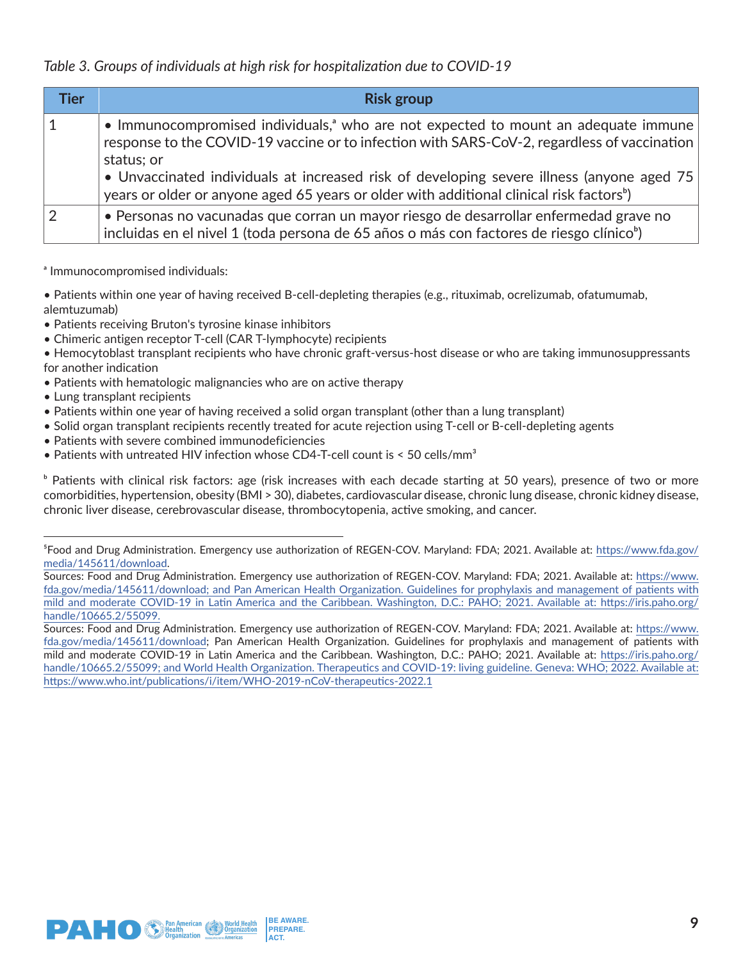### *Table 3. Groups of individuals at high risk for hospitalization due to COVID-19*

| <b>Tier</b> | <b>Risk group</b>                                                                                                                                                                                                                                                                                                                                                                                                 |
|-------------|-------------------------------------------------------------------------------------------------------------------------------------------------------------------------------------------------------------------------------------------------------------------------------------------------------------------------------------------------------------------------------------------------------------------|
|             | • Immunocompromised individuals, <sup>a</sup> who are not expected to mount an adequate immune<br>response to the COVID-19 vaccine or to infection with SARS-CoV-2, regardless of vaccination<br>status; or<br>• Unvaccinated individuals at increased risk of developing severe illness (anyone aged 75)<br>years or older or anyone aged 65 years or older with additional clinical risk factors <sup>b</sup> ) |
|             | • Personas no vacunadas que corran un mayor riesgo de desarrollar enfermedad grave no<br>incluidas en el nivel 1 (toda persona de 65 años o más con factores de riesgo clínico <sup>b</sup> )                                                                                                                                                                                                                     |

a Immunocompromised individuals:

• Patients within one year of having received B-cell-depleting therapies (e.g., rituximab, ocrelizumab, ofatumumab, alemtuzumab)

- Patients receiving Bruton's tyrosine kinase inhibitors
- Chimeric antigen receptor T-cell (CAR T-lymphocyte) recipients

• Hemocytoblast transplant recipients who have chronic graft-versus-host disease or who are taking immunosuppressants for another indication

- Patients with hematologic malignancies who are on active therapy
- Lung transplant recipients
- Patients within one year of having received a solid organ transplant (other than a lung transplant)
- Solid organ transplant recipients recently treated for acute rejection using T-cell or B-cell-depleting agents
- Patients with severe combined immunodeficiencies
- Patients with untreated HIV infection whose CD4-T-cell count is  $\leq$  50 cells/mm<sup>3</sup>

<sup>b</sup> Patients with clinical risk factors: age (risk increases with each decade starting at 50 years), presence of two or more comorbidities, hypertension, obesity (BMI > 30), diabetes, cardiovascular disease, chronic lung disease, chronic kidney disease, chronic liver disease, cerebrovascular disease, thrombocytopenia, active smoking, and cancer.



⁵Food and Drug Administration. Emergency use authorization of REGEN-COV. Maryland: FDA; 2021. Available at: [https://www.fda.gov/](https://www.fda.gov/media/145611/download) [media/145611/download.](https://www.fda.gov/media/145611/download)

Sources: Food and Drug Administration. Emergency use authorization of REGEN-COV. Maryland: FDA; 2021. Available at: [https://www.](https://www.fda.gov/media/145611/download; and Pan American Health Organization. Guidelines for prop) [fda.gov/media/145611/download; and Pan American Health Organization. Guidelines for prophylaxis and management of patients with](https://www.fda.gov/media/145611/download; and Pan American Health Organization. Guidelines for prop)  [mild and moderate COVID-19 in Latin America and the Caribbean. Washington, D.C.: PAHO; 2021. Available at: https://iris.paho.org/](https://www.fda.gov/media/145611/download; and Pan American Health Organization. Guidelines for prop) [handle/10665.2/55099.](https://www.fda.gov/media/145611/download; and Pan American Health Organization. Guidelines for prop)

Sources: Food and Drug Administration. Emergency use authorization of REGEN-COV. Maryland: FDA; 2021. Available at: [https://www.](https://www.fda.gov/media/145611/download) [fda.gov/media/145611/download](https://www.fda.gov/media/145611/download); Pan American Health Organization. Guidelines for prophylaxis and management of patients with mild and moderate COVID-19 in Latin America and the Caribbean. Washington, D.C.: PAHO; 2021. Available at: [https://iris.paho.org/](https://iris.paho.org/handle/10665.2/55099; and World Health Organization. Therapeutics and COVID-19) handle/10665.2/55099; and World Health Organization. Therapeutics and COVID-19: living guideline. Geneva: WHO; 2022. Available at: [https://www.who.int/publications/i/item/WHO-2019-nCoV-therapeutics-2022.1](https://iris.paho.org/handle/10665.2/55099; and World Health Organization. Therapeutics and COVID-19)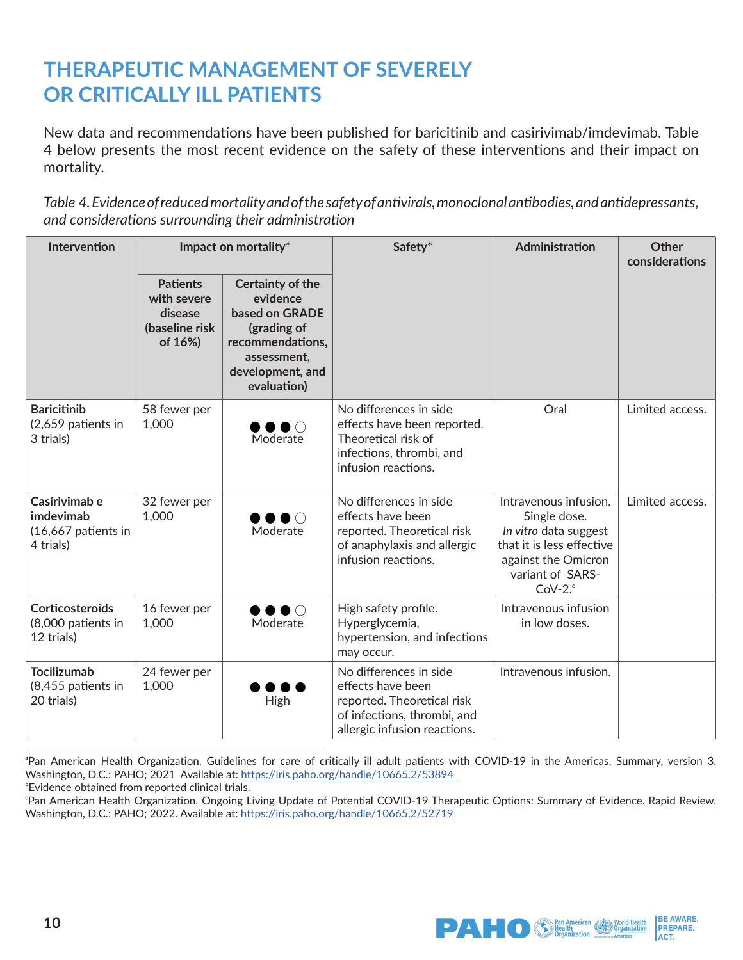# **THERAPEUTIC MANAGEMENT OF SEVERELY OR CRITICALLY ILL PATIENTS**

New data and recommendations have been published for baricitinib and casirivimab/imdevimab. Table 4 below presents the most recent evidence on the safety of these interventions and their impact on mortality.

*Table 4. Evidence of reduced mortality and of the safety of antivirals, monoclonal antibodies, and antidepressants, and considerations surrounding their administration*

| <b>Intervention</b>                                            | Impact on mortality*                                                   |                                                                                                                                            | Safety*                                                                                                                                  | Administration                                                                                                                                      | <b>Other</b><br>considerations |
|----------------------------------------------------------------|------------------------------------------------------------------------|--------------------------------------------------------------------------------------------------------------------------------------------|------------------------------------------------------------------------------------------------------------------------------------------|-----------------------------------------------------------------------------------------------------------------------------------------------------|--------------------------------|
|                                                                | <b>Patients</b><br>with severe<br>disease<br>(baseline risk<br>of 16%) | <b>Certainty of the</b><br>evidence<br>based on GRADE<br>(grading of<br>recommendations,<br>assessment,<br>development, and<br>evaluation) |                                                                                                                                          |                                                                                                                                                     |                                |
| <b>Baricitinib</b><br>(2,659 patients in<br>3 trials)          | 58 fewer per<br>1,000                                                  | $\bullet$ $\circ$<br>Moderate                                                                                                              | No differences in side<br>effects have been reported.<br>Theoretical risk of<br>infections, thrombi, and<br>infusion reactions.          | Oral                                                                                                                                                | Limited access.                |
| Casirivimab e<br>imdevimab<br>(16,667 patients in<br>4 trials) | 32 fewer per<br>1,000                                                  | ▶●○<br>Moderate                                                                                                                            | No differences in side<br>effects have been<br>reported. Theoretical risk<br>of anaphylaxis and allergic<br>infusion reactions.          | Intravenous infusion.<br>Single dose.<br>In vitro data suggest<br>that it is less effective<br>against the Omicron<br>variant of SARS-<br>$CoV-2.°$ | Limited access.                |
| <b>Corticosteroids</b><br>(8,000 patients in<br>12 trials)     | 16 fewer per<br>1,000                                                  | $\bullet\bullet\circ$<br>Moderate                                                                                                          | High safety profile.<br>Hyperglycemia,<br>hypertension, and infections<br>may occur.                                                     | Intravenous infusion<br>in low doses.                                                                                                               |                                |
| <b>Tocilizumab</b><br>(8,455 patients in<br>20 trials)         | 24 fewer per<br>1,000                                                  | High                                                                                                                                       | No differences in side<br>effects have been<br>reported. Theoretical risk<br>of infections, thrombi, and<br>allergic infusion reactions. | Intravenous infusion.                                                                                                                               |                                |

<sup>&</sup>lt;sup>a</sup>Pan American Health Organization. Guidelines for care of critically ill adult patients with COVID-19 in the Americas. Summary, version 3. Washington, D.C.: PAHO; 2021 Available at: [https://iris.paho.org/handle/10665.2/53894](https://iris.paho.org/handle/10665.2/53894 )  **Evidence obtained from reported clinical trials.** 

cPan American Health Organization. Ongoing Living Update of Potential COVID-19 Therapeutic Options: Summary of Evidence. Rapid Review. Washington, D.C.: PAHO; 2022. Available at:<https://iris.paho.org/handle/10665.2/52719>

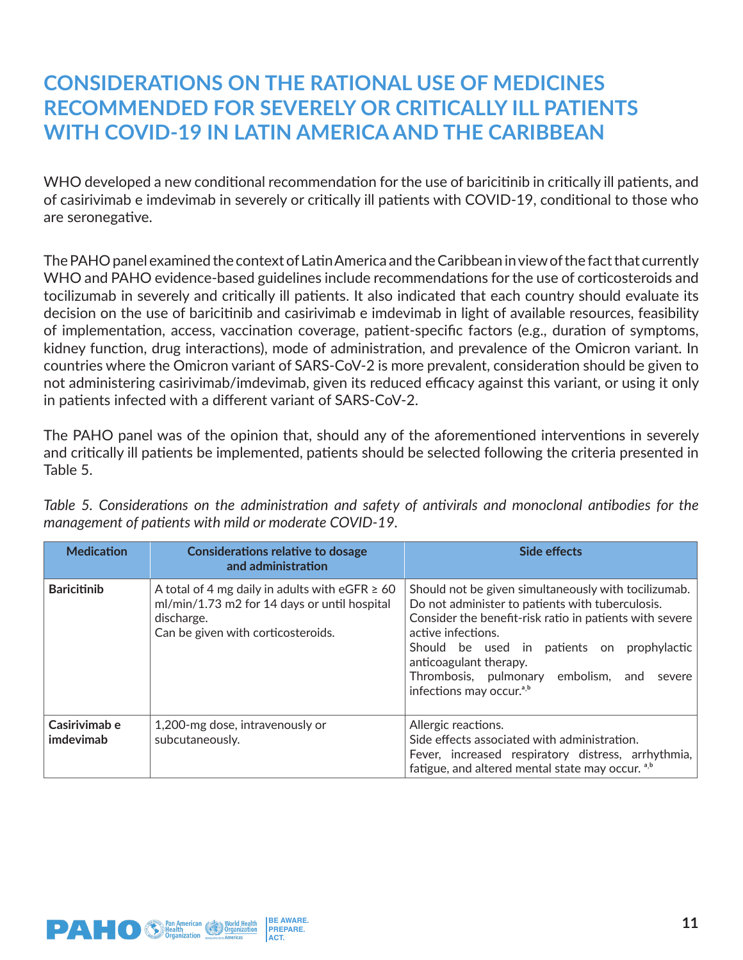### **CONSIDERATIONS ON THE RATIONAL USE OF MEDICINES RECOMMENDED FOR SEVERELY OR CRITICALLY ILL PATIENTS WITH COVID-19 IN LATIN AMERICA AND THE CARIBBEAN**

WHO developed a new conditional recommendation for the use of baricitinib in critically ill patients, and of casirivimab e imdevimab in severely or critically ill patients with COVID-19, conditional to those who are seronegative.

The PAHO panel examined the context of Latin America and the Caribbean in view of the fact that currently WHO and PAHO evidence-based guidelines include recommendations for the use of corticosteroids and tocilizumab in severely and critically ill patients. It also indicated that each country should evaluate its decision on the use of baricitinib and casirivimab e imdevimab in light of available resources, feasibility of implementation, access, vaccination coverage, patient-specific factors (e.g., duration of symptoms, kidney function, drug interactions), mode of administration, and prevalence of the Omicron variant. In countries where the Omicron variant of SARS-CoV-2 is more prevalent, consideration should be given to not administering casirivimab/imdevimab, given its reduced efficacy against this variant, or using it only in patients infected with a different variant of SARS-CoV-2.

The PAHO panel was of the opinion that, should any of the aforementioned interventions in severely and critically ill patients be implemented, patients should be selected following the criteria presented in Table 5.

| <b>Medication</b>          | <b>Considerations relative to dosage</b><br>and administration                                                                                          | <b>Side effects</b>                                                                                                                                                                                                                                                                                                                                           |
|----------------------------|---------------------------------------------------------------------------------------------------------------------------------------------------------|---------------------------------------------------------------------------------------------------------------------------------------------------------------------------------------------------------------------------------------------------------------------------------------------------------------------------------------------------------------|
| <b>Baricitinib</b>         | A total of 4 mg daily in adults with eGFR $\geq$ 60<br>ml/min/1.73 m2 for 14 days or until hospital<br>discharge.<br>Can be given with corticosteroids. | Should not be given simultaneously with tocilizumab.<br>Do not administer to patients with tuberculosis.<br>Consider the benefit-risk ratio in patients with severe<br>active infections.<br>prophylactic<br>Should be used in patients on<br>anticoagulant therapy.<br>Thrombosis, pulmonary embolism, and<br>severe<br>infections may occur. <sup>a,b</sup> |
| Casirivimab e<br>imdevimab | 1,200-mg dose, intravenously or<br>subcutaneously.                                                                                                      | Allergic reactions.<br>Side effects associated with administration.<br>Fever, increased respiratory distress, arrhythmia,<br>fatigue, and altered mental state may occur. a,b                                                                                                                                                                                 |

*Table 5. Considerations on the administration and safety of antivirals and monoclonal antibodies for the management of patients with mild or moderate COVID-19.*

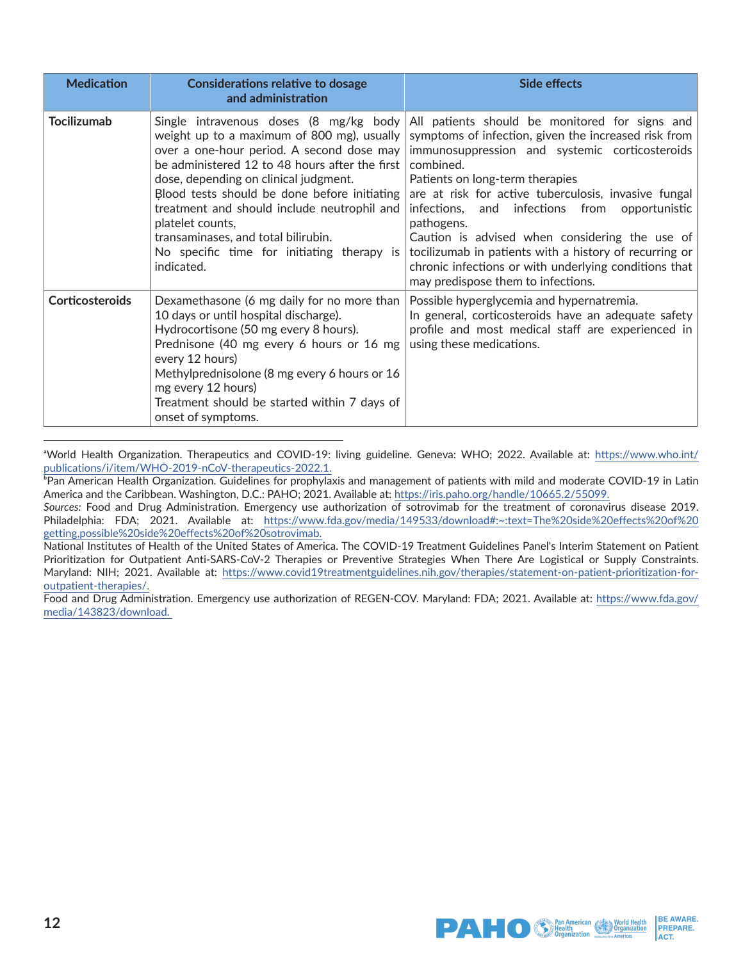| <b>Medication</b>      | <b>Considerations relative to dosage</b><br>and administration                                                                                                                                                                                                                                                                                                                                                                                     | <b>Side effects</b>                                                                                                                                                                                                                                                                                                                                                                                                                                                                                                                           |
|------------------------|----------------------------------------------------------------------------------------------------------------------------------------------------------------------------------------------------------------------------------------------------------------------------------------------------------------------------------------------------------------------------------------------------------------------------------------------------|-----------------------------------------------------------------------------------------------------------------------------------------------------------------------------------------------------------------------------------------------------------------------------------------------------------------------------------------------------------------------------------------------------------------------------------------------------------------------------------------------------------------------------------------------|
| <b>Tocilizumab</b>     | Single intravenous doses (8 mg/kg body<br>weight up to a maximum of 800 mg), usually<br>over a one-hour period. A second dose may<br>be administered 12 to 48 hours after the first<br>dose, depending on clinical judgment.<br>Blood tests should be done before initiating<br>treatment and should include neutrophil and<br>platelet counts,<br>transaminases, and total bilirubin.<br>No specific time for initiating therapy is<br>indicated. | All patients should be monitored for signs and<br>symptoms of infection, given the increased risk from<br>immunosuppression and systemic corticosteroids<br>combined.<br>Patients on long-term therapies<br>are at risk for active tuberculosis, invasive fungal<br>and infections from opportunistic<br>infections,<br>pathogens.<br>Caution is advised when considering the use of<br>tocilizumab in patients with a history of recurring or<br>chronic infections or with underlying conditions that<br>may predispose them to infections. |
| <b>Corticosteroids</b> | Dexamethasone (6 mg daily for no more than<br>10 days or until hospital discharge).<br>Hydrocortisone (50 mg every 8 hours).<br>Prednisone (40 mg every 6 hours or 16 mg<br>every 12 hours)<br>Methylprednisolone (8 mg every 6 hours or 16<br>mg every 12 hours)<br>Treatment should be started within 7 days of<br>onset of symptoms.                                                                                                            | Possible hyperglycemia and hypernatremia.<br>In general, corticosteroids have an adequate safety<br>profile and most medical staff are experienced in<br>using these medications.                                                                                                                                                                                                                                                                                                                                                             |

aWorld Health Organization. Therapeutics and COVID-19: living guideline. Geneva: WHO; 2022. Available at: [https://www.who.int/](https://www.who.int/publications/i/item/WHO-2019-nCoV-therapeutics-2022.1. ) [publications/i/item/WHO-2019-nCoV-therapeutics-2022.1.](https://www.who.int/publications/i/item/WHO-2019-nCoV-therapeutics-2022.1. )

**Pan American Health Organization. Guidelines for prophylaxis and management of patients with mild and moderate COVID-19 in Latin** America and the Caribbean. Washington, D.C.: PAHO; 2021. Available at:<https://iris.paho.org/handle/10665.2/55099.>

*Sources:* Food and Drug Administration. Emergency use authorization of sotrovimab for the treatment of coronavirus disease 2019. Philadelphia: FDA; 2021. Available at: [https://www.fda.gov/media/149533/download#:~:text=The%20side%20effects%20of%20](https://www.fda.gov/media/149533/download#:~:text=The%20side%20effects%20of%20getting,possible%20sid) [getting,possible%20side%20effects%20of%20sotrovimab.](https://www.fda.gov/media/149533/download#:~:text=The%20side%20effects%20of%20getting,possible%20sid)

National Institutes of Health of the United States of America. The COVID-19 Treatment Guidelines Panel's Interim Statement on Patient Prioritization for Outpatient Anti-SARS-CoV-2 Therapies or Preventive Strategies When There Are Logistical or Supply Constraints. Maryland: NIH; 2021. Available at: [https://www.covid19treatmentguidelines.nih.gov/therapies/statement-on-patient-prioritization-for](https://www.covid19treatmentguidelines.nih.gov/therapies/statement-on-patient-prioritization-for-out)[outpatient-therapies/.](https://www.covid19treatmentguidelines.nih.gov/therapies/statement-on-patient-prioritization-for-out)

Food and Drug Administration. Emergency use authorization of REGEN-COV. Maryland: FDA; 2021. Available at: [https://www.fda.gov/](https://www.fda.gov/media/143823/download. ) [media/143823/download.](https://www.fda.gov/media/143823/download. )